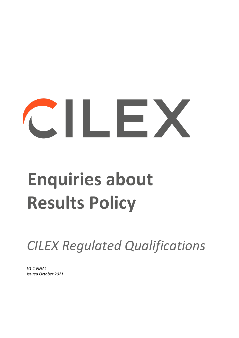# CONTROL

# **Enquiries about Results Policy**

*CILEX Regulated Qualifications* 

*V1.1 FINAL Issued October 2021*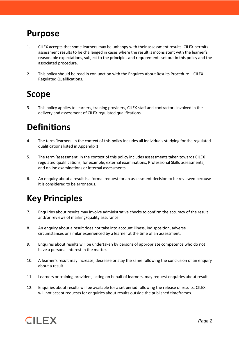### **Purpose**

- 1. CILEX accepts that some learners may be unhappy with their assessment results. CILEX permits assessment results to be challenged in cases where the result is inconsistent with the learner's reasonable expectations, subject to the principles and requirements set out in this policy and the associated procedure.
- 2. This policy should be read in conjunction with the Enquires About Results Procedure CILEX Regulated Qualifications.

# **Scope**

3. This policy applies to learners, training providers, CILEX staff and contractors involved in the delivery and assessment of CILEX regulated qualifications.

# **Definitions**

- 4. The term 'learners' in the context of this policy includes all individuals studying for the regulated qualifications listed in Appendix 1.
- 5. The term 'assessment' in the context of this policy includes assessments taken towards CILEX regulated qualifications, for example, external examinations, Professional Skills assessments, and online examinations or internal assessments.
- 6. An enquiry about a result is a formal request for an assessment decision to be reviewed because it is considered to be erroneous.

# **Key Principles**

- 7. Enquiries about results may involve administrative checks to confirm the accuracy of the result and/or reviews of marking/quality assurance.
- 8. An enquiry about a result does not take into account illness, indisposition, adverse circumstances or similar experienced by a learner at the time of an assessment.
- 9. Enquires about results will be undertaken by persons of appropriate competence who do not have a personal interest in the matter.
- 10. A learner's result may increase, decrease or stay the same following the conclusion of an enquiry about a result.
- 11. Learners or training providers, acting on behalf of learners, may request enquiries about results.
- 12. Enquiries about results will be available for a set period following the release of results. CILEX will not accept requests for enquiries about results outside the published timeframes.

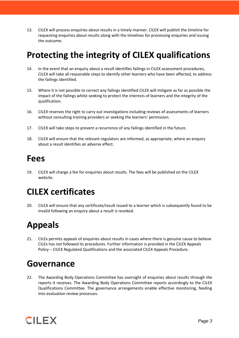13. CILEX will process enquiries about results in a timely manner. CILEX will publish the timeline for requesting enquiries about results along with the timelines for processing enquiries and issuing the outcome.

# **Protecting the integrity of CILEX qualifications**

- 14. In the event that an enquiry about a result identifies failings in CILEX assessment procedures, CILEX will take all reasonable steps to identify other learners who have been affected, to address the failings identified.
- 15. Where it is not possible to correct any failings identified CILEX will mitigate as far as possible the impact of the failings whilst seeking to protect the interests of learners and the integrity of the qualification.
- 16. CILEX reserves the right to carry out investigations including reviews of assessments of learners without consulting training providers or seeking the learners' permission.
- 17. CILEX will take steps to prevent a recurrence of any failings identified in the future.
- 18. CILEX will ensure that the relevant regulators are informed, as appropriate, where an enquiry about a result identifies an adverse effect.

#### **Fees**

19. CILEX will charge a fee for enquiries about results. The fees will be published on the CILEX website.

# **CILEX certificates**

20. CILEX will ensure that any certificate/result issued to a learner which is subsequently found to be invalid following an enquiry about a result is revoked.

# **Appeals**

21. CILEx permits appeals of enquiries about results in cases where there is genuine cause to believe CILEx has not followed its procedures. Further information is provided in the CILEX Appeals Policy – CILEX Regulated Qualifications and the associated CILEX Appeals Procedure.

#### **Governance**

22. The Awarding Body Operations Committee has oversight of enquiries about results through the reports it receives. The Awarding Body Operations Committee reports accordingly to the CILEX Qualifications Committee. The governance arrangements enable effective monitoring, feeding into evaluation review processes.

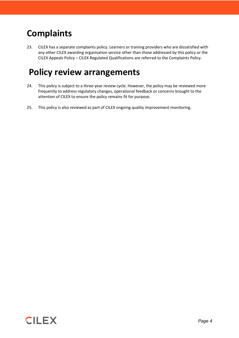# **Complaints**

23. CILEX has a separate complaints policy. Learners or training providers who are dissatisfied with any other CILEX awarding organisation service other than those addressed by this policy or the CILEX Appeals Policy – CILEX Regulated Qualifications are referred to the Complaints Policy.

# **Policy review arrangements**

- 24. This policy is subject to a three-year review cycle. However, the policy may be reviewed more frequently to address regulatory changes, operational feedback or concerns brought to the attention of CILEX to ensure the policy remains fit for purpose.
- 25. This policy is also reviewed as part of CILEX ongoing quality improvement monitoring.